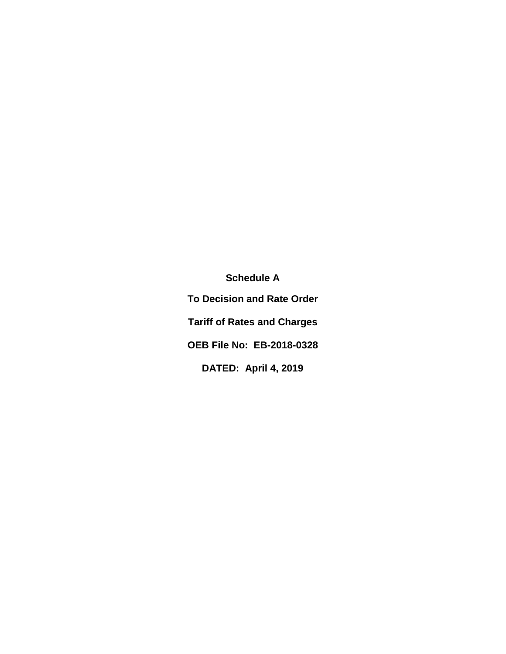**Schedule A To Decision and Rate Order Tariff of Rates and Charges OEB File No: EB-2018-0328 DATED: April 4, 2019**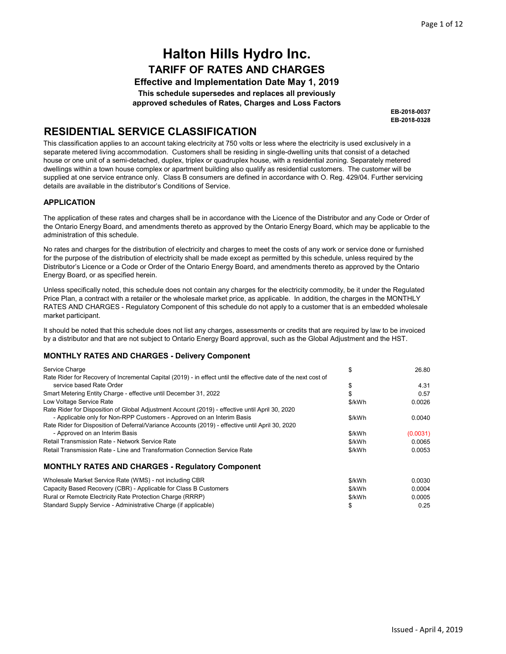Effective and Implementation Date May 1, 2019 This schedule supersedes and replaces all previously approved schedules of Rates, Charges and Loss Factors

> EB-2018-0328 EB-2018-0037

### RESIDENTIAL SERVICE CLASSIFICATION

This classification applies to an account taking electricity at 750 volts or less where the electricity is used exclusively in a separate metered living accommodation. Customers shall be residing in single-dwelling units that consist of a detached house or one unit of a semi-detached, duplex, triplex or quadruplex house, with a residential zoning. Separately metered dwellings within a town house complex or apartment building also qualify as residential customers. The customer will be supplied at one service entrance only. Class B consumers are defined in accordance with O. Reg. 429/04. Further servicing details are available in the distributor's Conditions of Service.

#### APPLICATION

The application of these rates and charges shall be in accordance with the Licence of the Distributor and any Code or Order of the Ontario Energy Board, and amendments thereto as approved by the Ontario Energy Board, which may be applicable to the administration of this schedule.

No rates and charges for the distribution of electricity and charges to meet the costs of any work or service done or furnished for the purpose of the distribution of electricity shall be made except as permitted by this schedule, unless required by the Distributor's Licence or a Code or Order of the Ontario Energy Board, and amendments thereto as approved by the Ontario Energy Board, or as specified herein.

Unless specifically noted, this schedule does not contain any charges for the electricity commodity, be it under the Regulated Price Plan, a contract with a retailer or the wholesale market price, as applicable. In addition, the charges in the MONTHLY RATES AND CHARGES - Regulatory Component of this schedule do not apply to a customer that is an embedded wholesale market participant.

It should be noted that this schedule does not list any charges, assessments or credits that are required by law to be invoiced by a distributor and that are not subject to Ontario Energy Board approval, such as the Global Adjustment and the HST.

#### MONTHLY RATES AND CHARGES - Delivery Component

| Service Charge                                                                                                 | \$     | 26.80    |
|----------------------------------------------------------------------------------------------------------------|--------|----------|
| Rate Rider for Recovery of Incremental Capital (2019) - in effect until the effective date of the next cost of |        |          |
| service based Rate Order                                                                                       | \$     | 4.31     |
| Smart Metering Entity Charge - effective until December 31, 2022                                               | \$     | 0.57     |
| Low Voltage Service Rate                                                                                       | \$/kWh | 0.0026   |
| Rate Rider for Disposition of Global Adjustment Account (2019) - effective until April 30, 2020                |        |          |
| - Applicable only for Non-RPP Customers - Approved on an Interim Basis                                         | \$/kWh | 0.0040   |
| Rate Rider for Disposition of Deferral/Variance Accounts (2019) - effective until April 30, 2020               |        |          |
| - Approved on an Interim Basis                                                                                 | \$/kWh | (0.0031) |
| Retail Transmission Rate - Network Service Rate                                                                | \$/kWh | 0.0065   |
| Retail Transmission Rate - Line and Transformation Connection Service Rate                                     | \$/kWh | 0.0053   |
| <b>MONTHLY RATES AND CHARGES - Regulatory Component</b>                                                        |        |          |
| Wholesale Market Service Rate (WMS) - not including CBR                                                        | \$/kWh | 0.0030   |
| Capacity Based Recovery (CBR) - Applicable for Class B Customers                                               | \$/kWh | 0.0004   |

Capacity Based Recovery (CBR) - Applicable for Class B Customers Rural or Remote Electricity Rate Protection Charge (RRRP) Standard Supply Service - Administrative Charge (if applicable)

\$/kWh 0.0005 \$ 0.25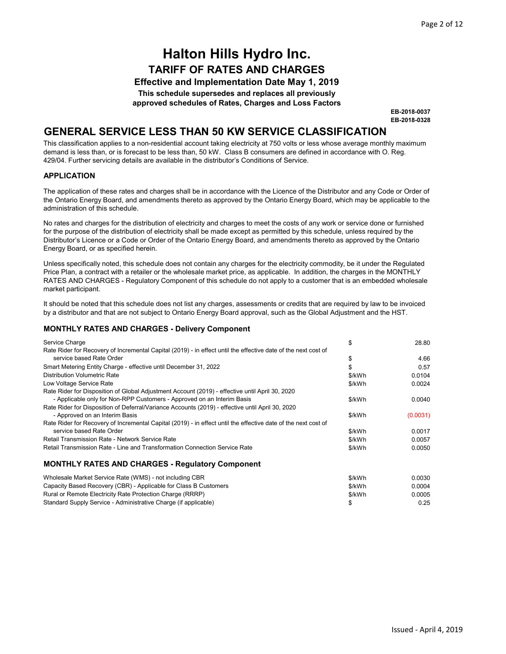Effective and Implementation Date May 1, 2019

This schedule supersedes and replaces all previously

approved schedules of Rates, Charges and Loss Factors

EB-2018-0328 EB-2018-0037

### GENERAL SERVICE LESS THAN 50 KW SERVICE CLASSIFICATION

This classification applies to a non-residential account taking electricity at 750 volts or less whose average monthly maximum demand is less than, or is forecast to be less than, 50 kW. Class B consumers are defined in accordance with O. Reg. 429/04. Further servicing details are available in the distributor's Conditions of Service.

#### **APPLICATION**

The application of these rates and charges shall be in accordance with the Licence of the Distributor and any Code or Order of the Ontario Energy Board, and amendments thereto as approved by the Ontario Energy Board, which may be applicable to the administration of this schedule.

No rates and charges for the distribution of electricity and charges to meet the costs of any work or service done or furnished for the purpose of the distribution of electricity shall be made except as permitted by this schedule, unless required by the Distributor's Licence or a Code or Order of the Ontario Energy Board, and amendments thereto as approved by the Ontario Energy Board, or as specified herein.

Unless specifically noted, this schedule does not contain any charges for the electricity commodity, be it under the Regulated Price Plan, a contract with a retailer or the wholesale market price, as applicable. In addition, the charges in the MONTHLY RATES AND CHARGES - Regulatory Component of this schedule do not apply to a customer that is an embedded wholesale market participant.

It should be noted that this schedule does not list any charges, assessments or credits that are required by law to be invoiced by a distributor and that are not subject to Ontario Energy Board approval, such as the Global Adjustment and the HST.

| Service Charge                                                                                                 | \$     | 28.80    |
|----------------------------------------------------------------------------------------------------------------|--------|----------|
| Rate Rider for Recovery of Incremental Capital (2019) - in effect until the effective date of the next cost of |        |          |
| service based Rate Order                                                                                       | \$     | 4.66     |
| Smart Metering Entity Charge - effective until December 31, 2022                                               | \$     | 0.57     |
| Distribution Volumetric Rate                                                                                   | \$/kWh | 0.0104   |
| Low Voltage Service Rate                                                                                       | \$/kWh | 0.0024   |
| Rate Rider for Disposition of Global Adjustment Account (2019) - effective until April 30, 2020                |        |          |
| - Applicable only for Non-RPP Customers - Approved on an Interim Basis                                         | \$/kWh | 0.0040   |
| Rate Rider for Disposition of Deferral/Variance Accounts (2019) - effective until April 30, 2020               |        |          |
| - Approved on an Interim Basis                                                                                 | \$/kWh | (0.0031) |
| Rate Rider for Recovery of Incremental Capital (2019) - in effect until the effective date of the next cost of |        |          |
| service based Rate Order                                                                                       | \$/kWh | 0.0017   |
| Retail Transmission Rate - Network Service Rate                                                                | \$/kWh | 0.0057   |
| Retail Transmission Rate - Line and Transformation Connection Service Rate                                     | \$/kWh | 0.0050   |
| <b>MONTHLY RATES AND CHARGES - Regulatory Component</b>                                                        |        |          |

| Wholesale Market Service Rate (WMS) - not including CBR          | \$/kWh | 0.0030 |
|------------------------------------------------------------------|--------|--------|
| Capacity Based Recovery (CBR) - Applicable for Class B Customers | \$/kWh | 0.0004 |
| Rural or Remote Electricity Rate Protection Charge (RRRP)        | \$/kWh | 0.0005 |
| Standard Supply Service - Administrative Charge (if applicable)  |        | 0.25   |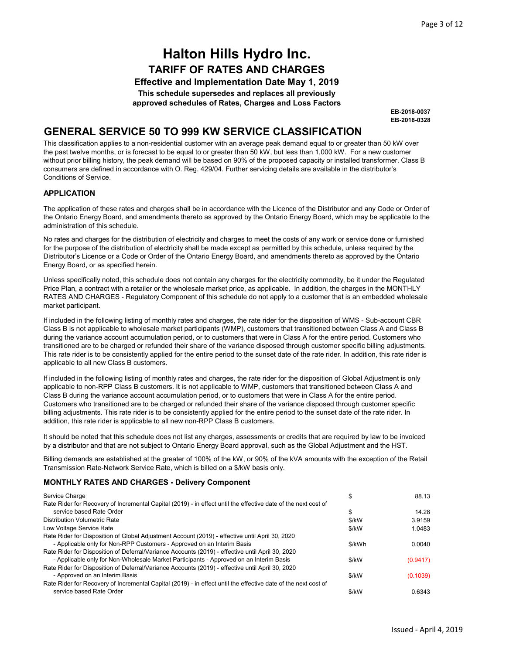Effective and Implementation Date May 1, 2019 This schedule supersedes and replaces all previously approved schedules of Rates, Charges and Loss Factors

> EB-2018-0328 EB-2018-0037

### GENERAL SERVICE 50 TO 999 KW SERVICE CLASSIFICATION

This classification applies to a non-residential customer with an average peak demand equal to or greater than 50 kW over the past twelve months, or is forecast to be equal to or greater than 50 kW, but less than 1,000 kW. For a new customer without prior billing history, the peak demand will be based on 90% of the proposed capacity or installed transformer. Class B consumers are defined in accordance with O. Reg. 429/04. Further servicing details are available in the distributor's Conditions of Service.

#### APPLICATION

The application of these rates and charges shall be in accordance with the Licence of the Distributor and any Code or Order of the Ontario Energy Board, and amendments thereto as approved by the Ontario Energy Board, which may be applicable to the administration of this schedule.

No rates and charges for the distribution of electricity and charges to meet the costs of any work or service done or furnished for the purpose of the distribution of electricity shall be made except as permitted by this schedule, unless required by the Distributor's Licence or a Code or Order of the Ontario Energy Board, and amendments thereto as approved by the Ontario Energy Board, or as specified herein.

Unless specifically noted, this schedule does not contain any charges for the electricity commodity, be it under the Regulated Price Plan, a contract with a retailer or the wholesale market price, as applicable. In addition, the charges in the MONTHLY RATES AND CHARGES - Regulatory Component of this schedule do not apply to a customer that is an embedded wholesale market participant.

If included in the following listing of monthly rates and charges, the rate rider for the disposition of WMS - Sub-account CBR Class B is not applicable to wholesale market participants (WMP), customers that transitioned between Class A and Class B during the variance account accumulation period, or to customers that were in Class A for the entire period. Customers who transitioned are to be charged or refunded their share of the variance disposed through customer specific billing adjustments. This rate rider is to be consistently applied for the entire period to the sunset date of the rate rider. In addition, this rate rider is applicable to all new Class B customers.

If included in the following listing of monthly rates and charges, the rate rider for the disposition of Global Adjustment is only applicable to non-RPP Class B customers. It is not applicable to WMP, customers that transitioned between Class A and Class B during the variance account accumulation period, or to customers that were in Class A for the entire period. Customers who transitioned are to be charged or refunded their share of the variance disposed through customer specific billing adjustments. This rate rider is to be consistently applied for the entire period to the sunset date of the rate rider. In addition, this rate rider is applicable to all new non-RPP Class B customers.

It should be noted that this schedule does not list any charges, assessments or credits that are required by law to be invoiced by a distributor and that are not subject to Ontario Energy Board approval, such as the Global Adjustment and the HST.

Billing demands are established at the greater of 100% of the kW, or 90% of the kVA amounts with the exception of the Retail Transmission Rate-Network Service Rate, which is billed on a \$/kW basis only.

| Service Charge                                                                                                 | \$      | 88.13    |
|----------------------------------------------------------------------------------------------------------------|---------|----------|
| Rate Rider for Recovery of Incremental Capital (2019) - in effect until the effective date of the next cost of |         |          |
| service based Rate Order                                                                                       | \$      | 14.28    |
| Distribution Volumetric Rate                                                                                   | $$$ /kW | 3.9159   |
| Low Voltage Service Rate                                                                                       | \$/kW   | 1.0483   |
| Rate Rider for Disposition of Global Adjustment Account (2019) - effective until April 30, 2020                |         |          |
| - Applicable only for Non-RPP Customers - Approved on an Interim Basis                                         | \$/kWh  | 0.0040   |
| Rate Rider for Disposition of Deferral/Variance Accounts (2019) - effective until April 30, 2020               |         |          |
| - Applicable only for Non-Wholesale Market Participants - Approved on an Interim Basis                         | \$/kW   | (0.9417) |
| Rate Rider for Disposition of Deferral/Variance Accounts (2019) - effective until April 30, 2020               |         |          |
| - Approved on an Interim Basis                                                                                 | \$/kW   | (0.1039) |
| Rate Rider for Recovery of Incremental Capital (2019) - in effect until the effective date of the next cost of |         |          |
| service based Rate Order                                                                                       | $$$ /kW | 0.6343   |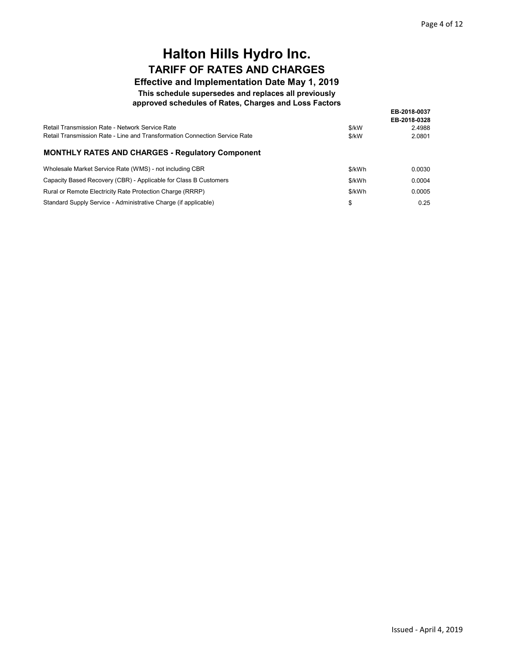### Effective and Implementation Date May 1, 2019

This schedule supersedes and replaces all previously

approved schedules of Rates, Charges and Loss Factors

|                                                                            |        | EB-2018-0037           |
|----------------------------------------------------------------------------|--------|------------------------|
| Retail Transmission Rate - Network Service Rate                            | \$/kW  | EB-2018-0328<br>2.4988 |
| Retail Transmission Rate - Line and Transformation Connection Service Rate | \$/kW  | 2.0801                 |
| <b>MONTHLY RATES AND CHARGES - Requiatory Component</b>                    |        |                        |
| Wholesale Market Service Rate (WMS) - not including CBR                    | \$/kWh | 0.0030                 |
| Capacity Based Recovery (CBR) - Applicable for Class B Customers           | \$/kWh | 0.0004                 |
| Rural or Remote Electricity Rate Protection Charge (RRRP)                  | \$/kWh | 0.0005                 |
| Standard Supply Service - Administrative Charge (if applicable)            | S      | 0.25                   |

Standard Supply Service - Administrative Charge (if applicable)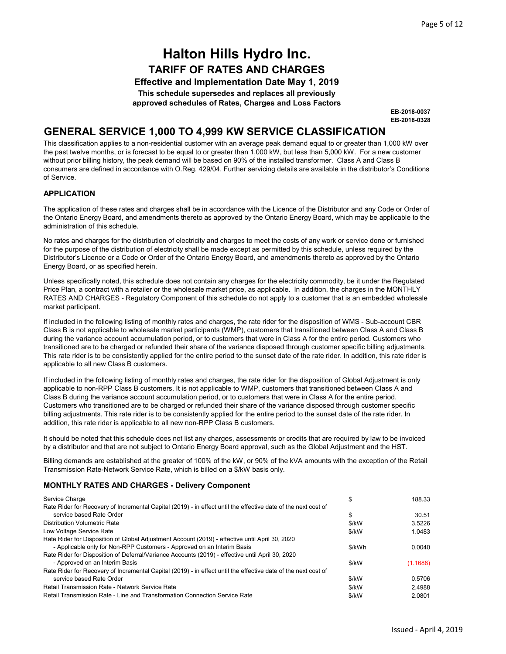Effective and Implementation Date May 1, 2019 This schedule supersedes and replaces all previously approved schedules of Rates, Charges and Loss Factors

> EB-2018-0328 EB-2018-0037

### GENERAL SERVICE 1,000 TO 4,999 KW SERVICE CLASSIFICATION

This classification applies to a non-residential customer with an average peak demand equal to or greater than 1,000 kW over the past twelve months, or is forecast to be equal to or greater than 1,000 kW, but less than 5,000 kW. For a new customer without prior billing history, the peak demand will be based on 90% of the installed transformer. Class A and Class B consumers are defined in accordance with O.Reg. 429/04. Further servicing details are available in the distributor's Conditions of Service.

#### APPLICATION

The application of these rates and charges shall be in accordance with the Licence of the Distributor and any Code or Order of the Ontario Energy Board, and amendments thereto as approved by the Ontario Energy Board, which may be applicable to the administration of this schedule.

No rates and charges for the distribution of electricity and charges to meet the costs of any work or service done or furnished for the purpose of the distribution of electricity shall be made except as permitted by this schedule, unless required by the Distributor's Licence or a Code or Order of the Ontario Energy Board, and amendments thereto as approved by the Ontario Energy Board, or as specified herein.

Unless specifically noted, this schedule does not contain any charges for the electricity commodity, be it under the Regulated Price Plan, a contract with a retailer or the wholesale market price, as applicable. In addition, the charges in the MONTHLY RATES AND CHARGES - Regulatory Component of this schedule do not apply to a customer that is an embedded wholesale market participant.

If included in the following listing of monthly rates and charges, the rate rider for the disposition of WMS - Sub-account CBR Class B is not applicable to wholesale market participants (WMP), customers that transitioned between Class A and Class B during the variance account accumulation period, or to customers that were in Class A for the entire period. Customers who transitioned are to be charged or refunded their share of the variance disposed through customer specific billing adjustments. This rate rider is to be consistently applied for the entire period to the sunset date of the rate rider. In addition, this rate rider is applicable to all new Class B customers.

If included in the following listing of monthly rates and charges, the rate rider for the disposition of Global Adjustment is only applicable to non-RPP Class B customers. It is not applicable to WMP, customers that transitioned between Class A and Class B during the variance account accumulation period, or to customers that were in Class A for the entire period. Customers who transitioned are to be charged or refunded their share of the variance disposed through customer specific billing adjustments. This rate rider is to be consistently applied for the entire period to the sunset date of the rate rider. In addition, this rate rider is applicable to all new non-RPP Class B customers.

It should be noted that this schedule does not list any charges, assessments or credits that are required by law to be invoiced by a distributor and that are not subject to Ontario Energy Board approval, such as the Global Adjustment and the HST.

Billing demands are established at the greater of 100% of the kW, or 90% of the kVA amounts with the exception of the Retail Transmission Rate-Network Service Rate, which is billed on a \$/kW basis only.

| Service Charge                                                                                                 | \$     | 188.33   |
|----------------------------------------------------------------------------------------------------------------|--------|----------|
| Rate Rider for Recovery of Incremental Capital (2019) - in effect until the effective date of the next cost of |        |          |
| service based Rate Order                                                                                       | \$     | 30.51    |
| Distribution Volumetric Rate                                                                                   | \$/kW  | 3.5226   |
| Low Voltage Service Rate                                                                                       | \$/kW  | 1.0483   |
| Rate Rider for Disposition of Global Adjustment Account (2019) - effective until April 30, 2020                |        |          |
| - Applicable only for Non-RPP Customers - Approved on an Interim Basis                                         | \$/kWh | 0.0040   |
| Rate Rider for Disposition of Deferral/Variance Accounts (2019) - effective until April 30, 2020               |        |          |
| - Approved on an Interim Basis                                                                                 | \$/kW  | (1.1688) |
| Rate Rider for Recovery of Incremental Capital (2019) - in effect until the effective date of the next cost of |        |          |
| service based Rate Order                                                                                       | \$/kW  | 0.5706   |
| Retail Transmission Rate - Network Service Rate                                                                | \$/kW  | 2.4988   |
| Retail Transmission Rate - Line and Transformation Connection Service Rate                                     | \$/kW  | 2.0801   |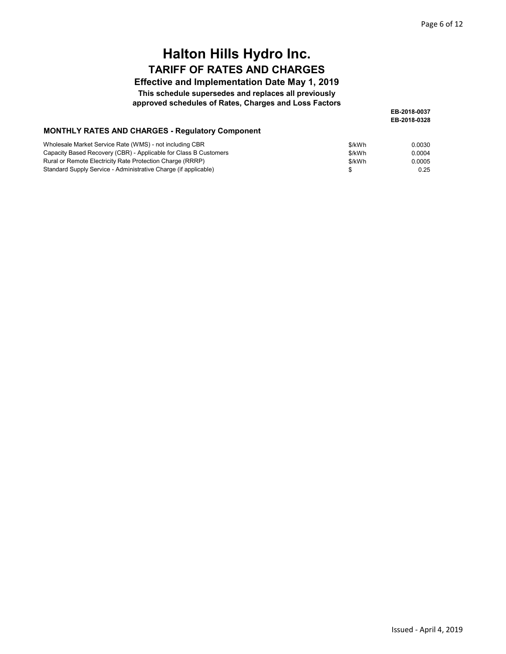#### Effective and Implementation Date May 1, 2019

This schedule supersedes and replaces all previously

approved schedules of Rates, Charges and Loss Factors

EB-2018-0328 EB-2018-0037

#### MONTHLY RATES AND CHARGES - Regulatory Component

| Wholesale Market Service Rate (WMS) - not including CBR          | \$/kWh | 0.0030 |
|------------------------------------------------------------------|--------|--------|
| Capacity Based Recovery (CBR) - Applicable for Class B Customers | \$/kWh | 0.0004 |
| Rural or Remote Electricity Rate Protection Charge (RRRP)        | \$/kWh | 0.0005 |
| Standard Supply Service - Administrative Charge (if applicable)  |        | 0.25   |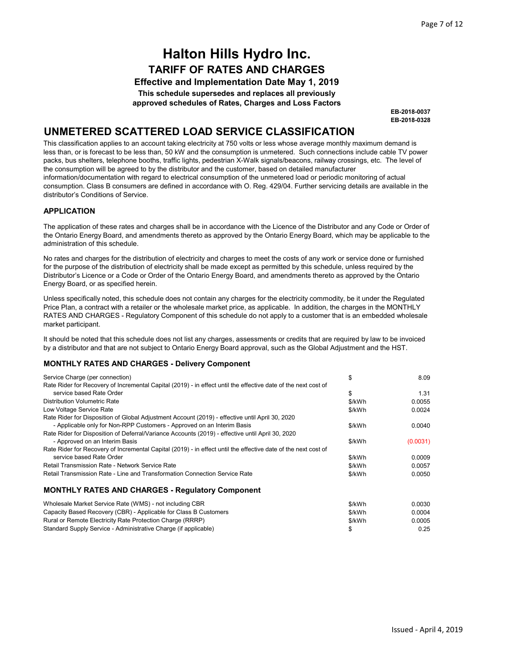Effective and Implementation Date May 1, 2019 This schedule supersedes and replaces all previously approved schedules of Rates, Charges and Loss Factors

> EB-2018-0328 EB-2018-0037

## UNMETERED SCATTERED LOAD SERVICE CLASSIFICATION

This classification applies to an account taking electricity at 750 volts or less whose average monthly maximum demand is less than, or is forecast to be less than, 50 kW and the consumption is unmetered. Such connections include cable TV power packs, bus shelters, telephone booths, traffic lights, pedestrian X-Walk signals/beacons, railway crossings, etc. The level of the consumption will be agreed to by the distributor and the customer, based on detailed manufacturer information/documentation with regard to electrical consumption of the unmetered load or periodic monitoring of actual consumption. Class B consumers are defined in accordance with O. Reg. 429/04. Further servicing details are available in the distributor's Conditions of Service.

#### APPLICATION

The application of these rates and charges shall be in accordance with the Licence of the Distributor and any Code or Order of the Ontario Energy Board, and amendments thereto as approved by the Ontario Energy Board, which may be applicable to the administration of this schedule.

No rates and charges for the distribution of electricity and charges to meet the costs of any work or service done or furnished for the purpose of the distribution of electricity shall be made except as permitted by this schedule, unless required by the Distributor's Licence or a Code or Order of the Ontario Energy Board, and amendments thereto as approved by the Ontario Energy Board, or as specified herein.

Unless specifically noted, this schedule does not contain any charges for the electricity commodity, be it under the Regulated Price Plan, a contract with a retailer or the wholesale market price, as applicable. In addition, the charges in the MONTHLY RATES AND CHARGES - Regulatory Component of this schedule do not apply to a customer that is an embedded wholesale market participant.

It should be noted that this schedule does not list any charges, assessments or credits that are required by law to be invoiced by a distributor and that are not subject to Ontario Energy Board approval, such as the Global Adjustment and the HST.

| Service Charge (per connection)                                                                                | \$     | 8.09     |
|----------------------------------------------------------------------------------------------------------------|--------|----------|
| Rate Rider for Recovery of Incremental Capital (2019) - in effect until the effective date of the next cost of |        |          |
| service based Rate Order                                                                                       | \$     | 1.31     |
| <b>Distribution Volumetric Rate</b>                                                                            | \$/kWh | 0.0055   |
| Low Voltage Service Rate                                                                                       | \$/kWh | 0.0024   |
| Rate Rider for Disposition of Global Adjustment Account (2019) - effective until April 30, 2020                |        |          |
| - Applicable only for Non-RPP Customers - Approved on an Interim Basis                                         | \$/kWh | 0.0040   |
| Rate Rider for Disposition of Deferral/Variance Accounts (2019) - effective until April 30, 2020               |        |          |
| - Approved on an Interim Basis                                                                                 | \$/kWh | (0.0031) |
| Rate Rider for Recovery of Incremental Capital (2019) - in effect until the effective date of the next cost of |        |          |
| service based Rate Order                                                                                       | \$/kWh | 0.0009   |
| Retail Transmission Rate - Network Service Rate                                                                | \$/kWh | 0.0057   |
| Retail Transmission Rate - Line and Transformation Connection Service Rate                                     | \$/kWh | 0.0050   |
| <b>MONTHLY RATES AND CHARGES - Regulatory Component</b>                                                        |        |          |

| Wholesale Market Service Rate (WMS) - not including CBR          | \$/kWh | 0.0030 |
|------------------------------------------------------------------|--------|--------|
| Capacity Based Recovery (CBR) - Applicable for Class B Customers | \$/kWh | 0.0004 |
| Rural or Remote Electricity Rate Protection Charge (RRRP)        | \$/kWh | 0.0005 |
| Standard Supply Service - Administrative Charge (if applicable)  |        | 0.25   |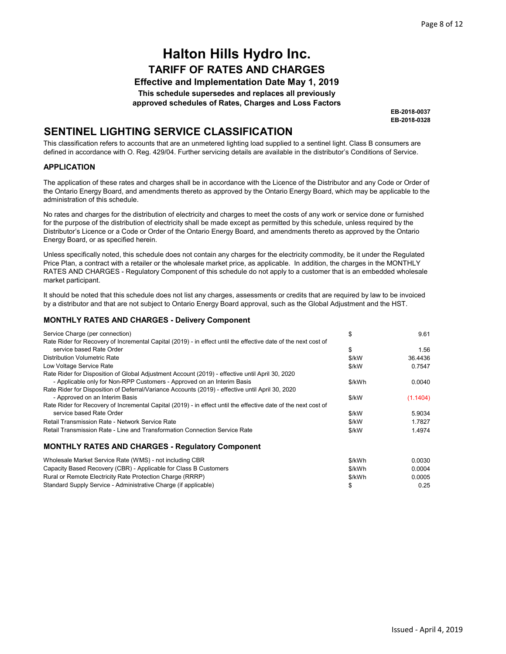Effective and Implementation Date May 1, 2019

This schedule supersedes and replaces all previously

approved schedules of Rates, Charges and Loss Factors

EB-2018-0328 EB-2018-0037

## SENTINEL LIGHTING SERVICE CLASSIFICATION

This classification refers to accounts that are an unmetered lighting load supplied to a sentinel light. Class B consumers are defined in accordance with O. Reg. 429/04. Further servicing details are available in the distributor's Conditions of Service.

#### APPLICATION

The application of these rates and charges shall be in accordance with the Licence of the Distributor and any Code or Order of the Ontario Energy Board, and amendments thereto as approved by the Ontario Energy Board, which may be applicable to the administration of this schedule.

No rates and charges for the distribution of electricity and charges to meet the costs of any work or service done or furnished for the purpose of the distribution of electricity shall be made except as permitted by this schedule, unless required by the Distributor's Licence or a Code or Order of the Ontario Energy Board, and amendments thereto as approved by the Ontario Energy Board, or as specified herein.

Unless specifically noted, this schedule does not contain any charges for the electricity commodity, be it under the Regulated Price Plan, a contract with a retailer or the wholesale market price, as applicable. In addition, the charges in the MONTHLY RATES AND CHARGES - Regulatory Component of this schedule do not apply to a customer that is an embedded wholesale market participant.

It should be noted that this schedule does not list any charges, assessments or credits that are required by law to be invoiced by a distributor and that are not subject to Ontario Energy Board approval, such as the Global Adjustment and the HST.

| Service Charge (per connection)                                                                                | \$     | 9.61     |
|----------------------------------------------------------------------------------------------------------------|--------|----------|
| Rate Rider for Recovery of Incremental Capital (2019) - in effect until the effective date of the next cost of |        |          |
| service based Rate Order                                                                                       | \$     | 1.56     |
| Distribution Volumetric Rate                                                                                   | \$/kW  | 36.4436  |
| Low Voltage Service Rate                                                                                       | \$/kW  | 0.7547   |
| Rate Rider for Disposition of Global Adjustment Account (2019) - effective until April 30, 2020                |        |          |
| - Applicable only for Non-RPP Customers - Approved on an Interim Basis                                         | \$/kWh | 0.0040   |
| Rate Rider for Disposition of Deferral/Variance Accounts (2019) - effective until April 30, 2020               |        |          |
| - Approved on an Interim Basis                                                                                 | \$/kW  | (1.1404) |
| Rate Rider for Recovery of Incremental Capital (2019) - in effect until the effective date of the next cost of |        |          |
| service based Rate Order                                                                                       | \$/kW  | 5.9034   |
| Retail Transmission Rate - Network Service Rate                                                                | \$/kW  | 1.7827   |
| Retail Transmission Rate - Line and Transformation Connection Service Rate                                     | \$/kW  | 1.4974   |
| <b>MONTHLY RATES AND CHARGES - Regulatory Component</b>                                                        |        |          |
| Wholesale Market Service Rate (WMS) - not including CBR                                                        | \$/kWh | 0.0030   |
| Capacity Based Recovery (CBR) - Applicable for Class B Customers                                               | \$/kWh | 0.0004   |
| Rural or Remote Electricity Rate Protection Charge (RRRP)                                                      | \$/kWh | 0.0005   |
| Standard Supply Service - Administrative Charge (if applicable)                                                | \$     | 0.25     |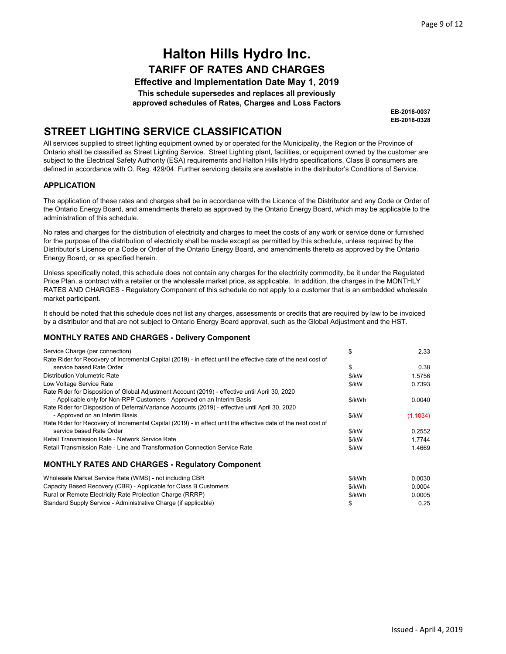Effective and Implementation Date May 1, 2019 This schedule supersedes and replaces all previously approved schedules of Rates, Charges and Loss Factors

> EB-2018-0328 EB-2018-0037

## STREET LIGHTING SERVICE CLASSIFICATION

All services supplied to street lighting equipment owned by or operated for the Municipality, the Region or the Province of Ontario shall be classified as Street Lighting Service. Street Lighting plant, facilities, or equipment owned by the customer are subject to the Electrical Safety Authority (ESA) requirements and Halton Hills Hydro specifications. Class B consumers are defined in accordance with O. Reg. 429/04. Further servicing details are available in the distributor's Conditions of Service.

#### APPLICATION

The application of these rates and charges shall be in accordance with the Licence of the Distributor and any Code or Order of the Ontario Energy Board, and amendments thereto as approved by the Ontario Energy Board, which may be applicable to the administration of this schedule.

No rates and charges for the distribution of electricity and charges to meet the costs of any work or service done or furnished for the purpose of the distribution of electricity shall be made except as permitted by this schedule, unless required by the Distributor's Licence or a Code or Order of the Ontario Energy Board, and amendments thereto as approved by the Ontario Energy Board, or as specified herein.

Unless specifically noted, this schedule does not contain any charges for the electricity commodity, be it under the Regulated Price Plan, a contract with a retailer or the wholesale market price, as applicable. In addition, the charges in the MONTHLY RATES AND CHARGES - Regulatory Component of this schedule do not apply to a customer that is an embedded wholesale market participant.

It should be noted that this schedule does not list any charges, assessments or credits that are required by law to be invoiced by a distributor and that are not subject to Ontario Energy Board approval, such as the Global Adjustment and the HST.

| Service Charge (per connection)                                                                                | \$     | 2.33     |
|----------------------------------------------------------------------------------------------------------------|--------|----------|
| Rate Rider for Recovery of Incremental Capital (2019) - in effect until the effective date of the next cost of |        |          |
| service based Rate Order                                                                                       | \$     | 0.38     |
| Distribution Volumetric Rate                                                                                   | \$/kW  | 1.5756   |
| Low Voltage Service Rate                                                                                       | \$/kW  | 0.7393   |
| Rate Rider for Disposition of Global Adjustment Account (2019) - effective until April 30, 2020                |        |          |
| - Applicable only for Non-RPP Customers - Approved on an Interim Basis                                         | \$/kWh | 0.0040   |
| Rate Rider for Disposition of Deferral/Variance Accounts (2019) - effective until April 30, 2020               |        |          |
| - Approved on an Interim Basis                                                                                 | \$/kW  | (1.1034) |
| Rate Rider for Recovery of Incremental Capital (2019) - in effect until the effective date of the next cost of |        |          |
| service based Rate Order                                                                                       | \$/kW  | 0.2552   |
| Retail Transmission Rate - Network Service Rate                                                                | \$/kW  | 1.7744   |
| Retail Transmission Rate - Line and Transformation Connection Service Rate                                     | \$/kW  | 1.4669   |
| <b>MONTHLY RATES AND CHARGES - Requiatory Component</b>                                                        |        |          |

| Wholesale Market Service Rate (WMS) - not including CBR          | \$/kWh | 0.0030 |
|------------------------------------------------------------------|--------|--------|
| Capacity Based Recovery (CBR) - Applicable for Class B Customers | \$/kWh | 0.0004 |
| Rural or Remote Electricity Rate Protection Charge (RRRP)        | \$/kWh | 0.0005 |
| Standard Supply Service - Administrative Charge (if applicable)  |        | 0.25   |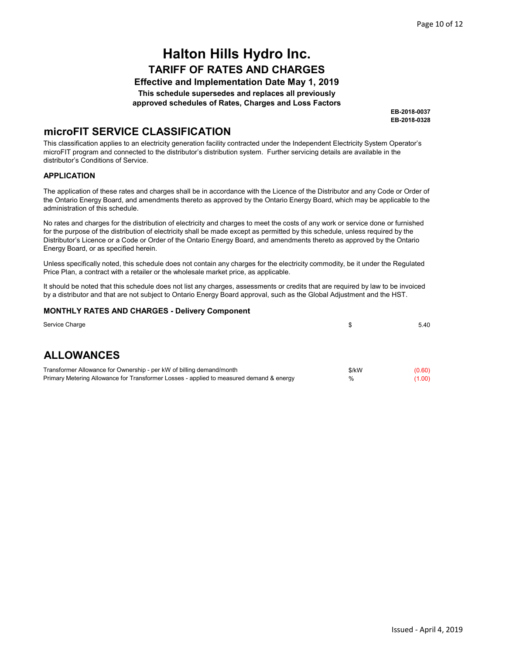Effective and Implementation Date May 1, 2019 This schedule supersedes and replaces all previously

approved schedules of Rates, Charges and Loss Factors

EB-2018-0328 EB-2018-0037

### microFIT SERVICE CLASSIFICATION

This classification applies to an electricity generation facility contracted under the Independent Electricity System Operator's microFIT program and connected to the distributor's distribution system. Further servicing details are available in the distributor's Conditions of Service.

#### APPLICATION

The application of these rates and charges shall be in accordance with the Licence of the Distributor and any Code or Order of the Ontario Energy Board, and amendments thereto as approved by the Ontario Energy Board, which may be applicable to the administration of this schedule.

No rates and charges for the distribution of electricity and charges to meet the costs of any work or service done or furnished for the purpose of the distribution of electricity shall be made except as permitted by this schedule, unless required by the Distributor's Licence or a Code or Order of the Ontario Energy Board, and amendments thereto as approved by the Ontario Energy Board, or as specified herein.

Unless specifically noted, this schedule does not contain any charges for the electricity commodity, be it under the Regulated Price Plan, a contract with a retailer or the wholesale market price, as applicable.

It should be noted that this schedule does not list any charges, assessments or credits that are required by law to be invoiced by a distributor and that are not subject to Ontario Energy Board approval, such as the Global Adjustment and the HST.

| Service Charge                                                                                                                                                  |               | 5.40             |
|-----------------------------------------------------------------------------------------------------------------------------------------------------------------|---------------|------------------|
|                                                                                                                                                                 |               |                  |
| <b>ALLOWANCES</b>                                                                                                                                               |               |                  |
| Transformer Allowance for Ownership - per kW of billing demand/month<br>Primary Metering Allowance for Transformer Losses - applied to measured demand & energy | \$/kW<br>$\%$ | (0.60)<br>(1.00) |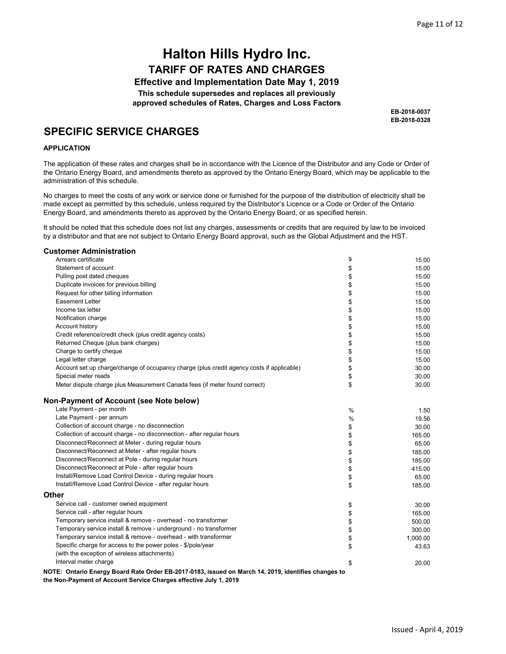Effective and Implementation Date May 1, 2019 This schedule supersedes and replaces all previously approved schedules of Rates, Charges and Loss Factors

> EB-2018-0328 EB-2018-0037

### SPECIFIC SERVICE CHARGES

#### APPLICATION

The application of these rates and charges shall be in accordance with the Licence of the Distributor and any Code or Order of the Ontario Energy Board, and amendments thereto as approved by the Ontario Energy Board, which may be applicable to the administration of this schedule.

No charges to meet the costs of any work or service done or furnished for the purpose of the distribution of electricity shall be made except as permitted by this schedule, unless required by the Distributor's Licence or a Code or Order of the Ontario Energy Board, and amendments thereto as approved by the Ontario Energy Board, or as specified herein.

It should be noted that this schedule does not list any charges, assessments or credits that are required by law to be invoiced by a distributor and that are not subject to Ontario Energy Board approval, such as the Global Adjustment and the HST.

#### Customer Administration

| Arrears certificate                                                                                 | \$ | 15.00    |
|-----------------------------------------------------------------------------------------------------|----|----------|
| Statement of account                                                                                | \$ | 15.00    |
| Pulling post dated cheques                                                                          | \$ | 15.00    |
| Duplicate invoices for previous billing                                                             | \$ | 15.00    |
| Request for other billing information                                                               | \$ | 15.00    |
| <b>Easement Letter</b>                                                                              | \$ | 15.00    |
| Income tax letter                                                                                   | \$ | 15.00    |
| Notification charge                                                                                 | \$ | 15.00    |
| Account history                                                                                     | \$ | 15.00    |
| Credit reference/credit check (plus credit agency costs)                                            | \$ | 15.00    |
| Returned Cheque (plus bank charges)                                                                 | \$ | 15.00    |
| Charge to certify cheque                                                                            | \$ | 15.00    |
| Legal letter charge                                                                                 | \$ | 15.00    |
| Account set up charge/change of occupancy charge (plus credit agency costs if applicable)           | \$ | 30.00    |
| Special meter reads                                                                                 | \$ | 30.00    |
| Meter dispute charge plus Measurement Canada fees (if meter found correct)                          | \$ | 30.00    |
| Non-Payment of Account (see Note below)                                                             |    |          |
| Late Payment - per month                                                                            | %  | 1.50     |
| Late Payment - per annum                                                                            | %  | 19.56    |
| Collection of account charge - no disconnection                                                     | \$ | 30.00    |
| Collection of account charge - no disconnection - after regular hours                               | \$ | 165.00   |
| Disconnect/Reconnect at Meter - during regular hours                                                | \$ | 65.00    |
| Disconnect/Reconnect at Meter - after regular hours                                                 | \$ | 185.00   |
| Disconnect/Reconnect at Pole - during regular hours                                                 | \$ | 185.00   |
| Disconnect/Reconnect at Pole - after regular hours                                                  | \$ | 415.00   |
| Install/Remove Load Control Device - during regular hours                                           | \$ | 65.00    |
| Install/Remove Load Control Device - after regular hours                                            | \$ | 185.00   |
| Other                                                                                               |    |          |
| Service call - customer owned equipment                                                             | \$ | 30.00    |
| Service call - after regular hours                                                                  | \$ | 165.00   |
| Temporary service install & remove - overhead - no transformer                                      | \$ | 500.00   |
| Temporary service install & remove - underground - no transformer                                   | \$ | 300.00   |
| Temporary service install & remove - overhead - with transformer                                    | \$ | 1,000.00 |
| Specific charge for access to the power poles - \$/pole/year                                        | \$ | 43.63    |
| (with the exception of wireless attachments)                                                        |    |          |
| Interval meter charge                                                                               | \$ | 20.00    |
| NOTE: Ontario Energy Board Rate Order EB-2017-0183, issued on March 14, 2019, identifies changes to |    |          |

NOTE: Ontario Energy Board Rate Order EB-2017-0183, issued on March 14, 2019, identifies changes to the Non-Payment of Account Service Charges effective July 1, 2019